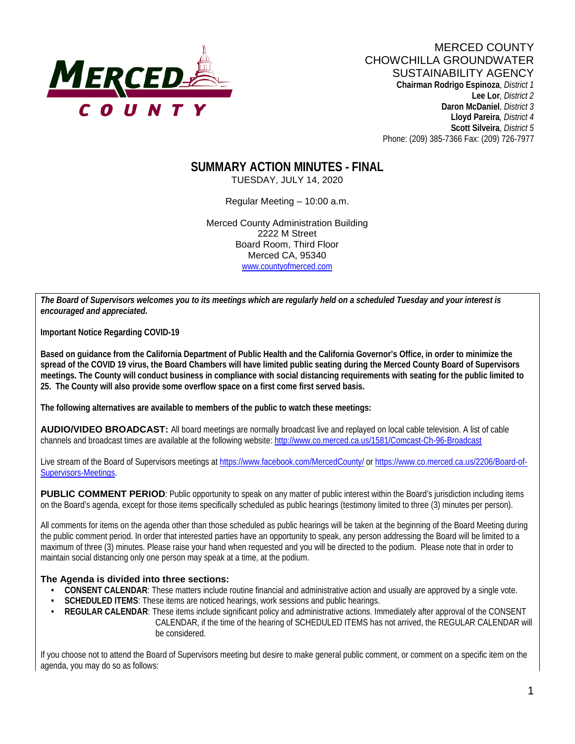

**Lee Lor**, *District 2*  **Daron McDaniel**, *District 3* **Lloyd Pareira***, District 4*  **Scott Silveira**, *District 5* Phone: (209) 385-7366 Fax: (209) 726-7977

# **SUMMARY ACTION MINUTES - FINAL**

TUESDAY, JULY 14, 2020

Regular Meeting – 10:00 a.m.

Merced County Administration Building 2222 M Street Board Room, Third Floor Merced CA, 95340 www.countyofmerced.com

*The Board of Supervisors welcomes you to its meetings which are regularly held on a scheduled Tuesday and your interest is encouraged and appreciated.*

**Important Notice Regarding COVID-19**

**Based on guidance from the California Department of Public Health and the California Governor's Office, in order to minimize the spread of the COVID 19 virus, the Board Chambers will have limited public seating during the Merced County Board of Supervisors meetings. The County will conduct business in compliance with social distancing requirements with seating for the public limited to 25. The County will also provide some overflow space on a first come first served basis.**

**The following alternatives are available to members of the public to watch these meetings:**

**AUDIO/VIDEO BROADCAST:** All board meetings are normally broadcast live and replayed on local cable television. A list of cable channels and broadcast times are available at the following website[: http://www.co.merced.ca.us/1581/Comcast-Ch-96-Broadcast](http://www.co.merced.ca.us/1581/Comcast-Ch-96-Broadcast)

Live stream of the Board of Supervisors meetings at<https://www.facebook.com/MercedCounty/> o[r https://www.co.merced.ca.us/2206/Board-of-](https://www.co.merced.ca.us/2206/Board-of-Supervisors-Meetings)[Supervisors-Meetings.](https://www.co.merced.ca.us/2206/Board-of-Supervisors-Meetings)

**PUBLIC COMMENT PERIOD**: Public opportunity to speak on any matter of public interest within the Board's jurisdiction including items on the Board's agenda, except for those items specifically scheduled as public hearings (testimony limited to three (3) minutes per person).

All comments for items on the agenda other than those scheduled as public hearings will be taken at the beginning of the Board Meeting during the public comment period. In order that interested parties have an opportunity to speak, any person addressing the Board will be limited to a maximum of three (3) minutes. Please raise your hand when requested and you will be directed to the podium. Please note that in order to maintain social distancing only one person may speak at a time, at the podium.

#### **The Agenda is divided into three sections:**

- **CONSENT CALENDAR**: These matters include routine financial and administrative action and usually are approved by a single vote.
- **SCHEDULED ITEMS:** These items are noticed hearings, work sessions and public hearings.
- **REGULAR CALENDAR:** These items include significant policy and administrative actions. Immediately after approval of the CONSENT CALENDAR, if the time of the hearing of SCHEDULED ITEMS has not arrived, the REGULAR CALENDAR will be considered.

If you choose not to attend the Board of Supervisors meeting but desire to make general public comment, or comment on a specific item on the agenda, you may do so as follows: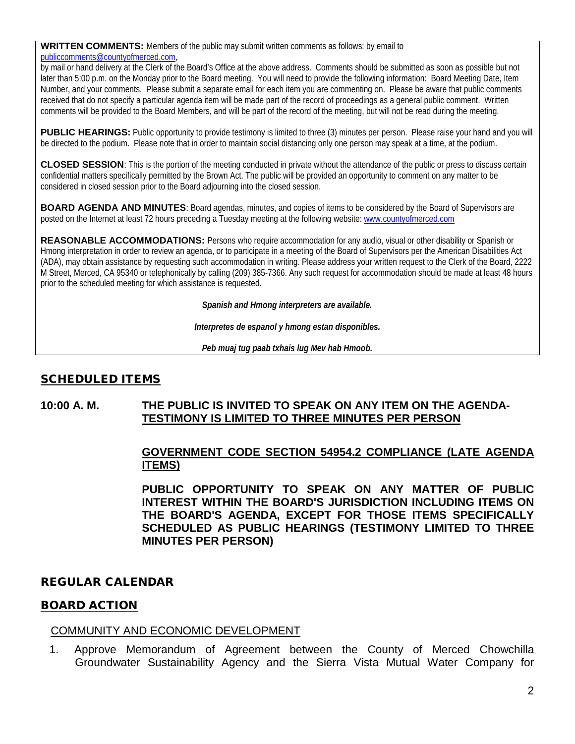#### **WRITTEN COMMENTS:** Members of the public may submit written comments as follows: by email to [publiccomments@countyofmerced.com,](mailto:publiccomments@countyofmerced.com)

by mail or hand delivery at the Clerk of the Board's Office at the above address. Comments should be submitted as soon as possible but not later than 5:00 p.m. on the Monday prior to the Board meeting. You will need to provide the following information: Board Meeting Date, Item Number, and your comments. Please submit a separate email for each item you are commenting on. Please be aware that public comments received that do not specify a particular agenda item will be made part of the record of proceedings as a general public comment. Written comments will be provided to the Board Members, and will be part of the record of the meeting, but will not be read during the meeting.

**PUBLIC HEARINGS:** Public opportunity to provide testimony is limited to three (3) minutes per person. Please raise your hand and you will be directed to the podium. Please note that in order to maintain social distancing only one person may speak at a time, at the podium.

**CLOSED SESSION**: This is the portion of the meeting conducted in private without the attendance of the public or press to discuss certain confidential matters specifically permitted by the Brown Act. The public will be provided an opportunity to comment on any matter to be considered in closed session prior to the Board adjourning into the closed session.

**BOARD AGENDA AND MINUTES:** Board agendas, minutes, and copies of items to be considered by the Board of Supervisors are posted on the Internet at least 72 hours preceding a Tuesday meeting at the following website: [www.countyofmerced.com](http://www.countyofmerced.com/) 

**REASONABLE ACCOMMODATIONS:** Persons who require accommodation for any audio, visual or other disability or Spanish or Hmong interpretation in order to review an agenda, or to participate in a meeting of the Board of Supervisors per the American Disabilities Act (ADA), may obtain assistance by requesting such accommodation in writing. Please address your written request to the Clerk of the Board, 2222 M Street, Merced, CA 95340 or telephonically by calling (209) 385-7366. Any such request for accommodation should be made at least 48 hours prior to the scheduled meeting for which assistance is requested.

*Spanish and Hmong interpreters are available.*

*Interpretes de espanol y hmong estan disponibles.*

*Peb muaj tug paab txhais lug Mev hab Hmoob.* 

# SCHEDULED ITEMS

#### **10:00 A. M. THE PUBLIC IS INVITED TO SPEAK ON ANY ITEM ON THE AGENDA-TESTIMONY IS LIMITED TO THREE MINUTES PER PERSON**

## **GOVERNMENT CODE SECTION 54954.2 COMPLIANCE (LATE AGENDA ITEMS)**

**PUBLIC OPPORTUNITY TO SPEAK ON ANY MATTER OF PUBLIC INTEREST WITHIN THE BOARD'S JURISDICTION INCLUDING ITEMS ON THE BOARD'S AGENDA, EXCEPT FOR THOSE ITEMS SPECIFICALLY SCHEDULED AS PUBLIC HEARINGS (TESTIMONY LIMITED TO THREE MINUTES PER PERSON)**

#### REGULAR CALENDAR

#### BOARD ACTION

#### COMMUNITY AND ECONOMIC DEVELOPMENT

1. Approve Memorandum of Agreement between the County of Merced Chowchilla Groundwater Sustainability Agency and the Sierra Vista Mutual Water Company for